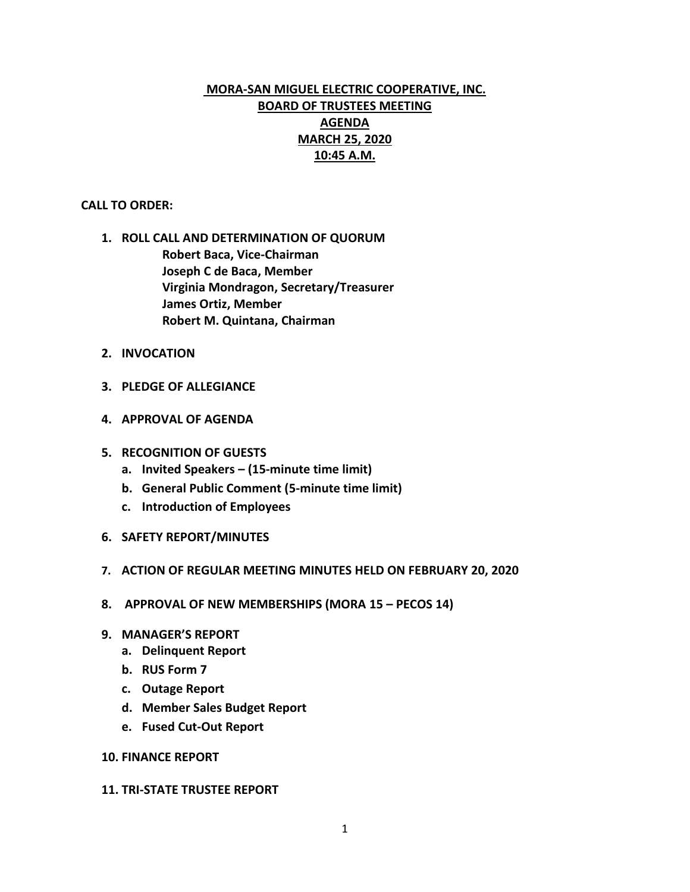# **MORA-SAN MIGUEL ELECTRIC COOPERATIVE, INC. BOARD OF TRUSTEES MEETING AGENDA MARCH 25, 2020 10:45 A.M.**

#### **CALL TO ORDER:**

- **1. ROLL CALL AND DETERMINATION OF QUORUM Robert Baca, Vice-Chairman Joseph C de Baca, Member Virginia Mondragon, Secretary/Treasurer James Ortiz, Member Robert M. Quintana, Chairman**
- **2. INVOCATION**
- **3. PLEDGE OF ALLEGIANCE**
- **4. APPROVAL OF AGENDA**
- **5. RECOGNITION OF GUESTS**
	- **a. Invited Speakers – (15-minute time limit)**
	- **b. General Public Comment (5-minute time limit)**
	- **c. Introduction of Employees**
- **6. SAFETY REPORT/MINUTES**
- **7. ACTION OF REGULAR MEETING MINUTES HELD ON FEBRUARY 20, 2020**
- **8. APPROVAL OF NEW MEMBERSHIPS (MORA 15 – PECOS 14)**
- **9. MANAGER'S REPORT**
	- **a. Delinquent Report**
	- **b. RUS Form 7**
	- **c. Outage Report**
	- **d. Member Sales Budget Report**
	- **e. Fused Cut-Out Report**

#### **10. FINANCE REPORT**

#### **11. TRI-STATE TRUSTEE REPORT**